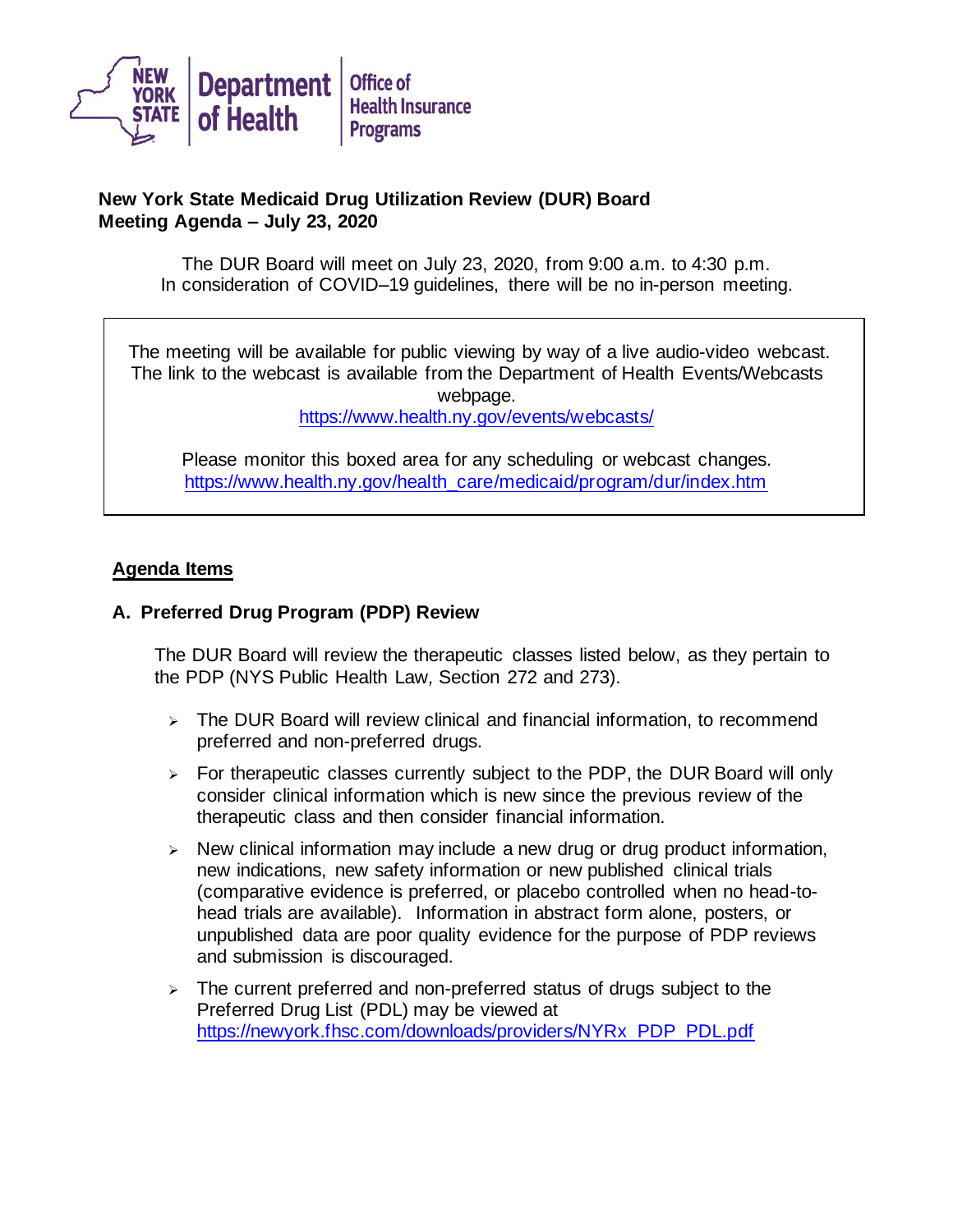

## **New York State Medicaid Drug Utilization Review (DUR) Board Meeting Agenda – July 23, 2020**

The DUR Board will meet on July 23, 2020, from 9:00 a.m. to 4:30 p.m. In consideration of COVID–19 guidelines, there will be no in-person meeting.

The meeting will be available for public viewing by way of a live audio-video webcast. The link to the webcast is available from the Department of Health Events/Webcasts webpage.

<https://www.health.ny.gov/events/webcasts/>

Please monitor this boxed area for any scheduling or webcast changes. [https://www.health.ny.gov/health\\_care/medicaid/program/dur/index.htm](https://www.health.ny.gov/health_care/medicaid/program/dur/index.htm)

## **Agenda Items**

## **A. Preferred Drug Program (PDP) Review**

The DUR Board will review the therapeutic classes listed below, as they pertain to the PDP (NYS Public Health Law*,* Section 272 and 273).

- ➢ The DUR Board will review clinical and financial information, to recommend preferred and non-preferred drugs.
- $\triangleright$  For therapeutic classes currently subject to the PDP, the DUR Board will only consider clinical information which is new since the previous review of the therapeutic class and then consider financial information.
- $\triangleright$  New clinical information may include a new drug or drug product information, new indications, new safety information or new published clinical trials (comparative evidence is preferred, or placebo controlled when no head-tohead trials are available). Information in abstract form alone, posters, or unpublished data are poor quality evidence for the purpose of PDP reviews and submission is discouraged.
- ➢ The current preferred and non-preferred status of drugs subject to the Preferred Drug List (PDL) may be viewed at [https://newyork.fhsc.com/downloads/providers/NYRx\\_PDP\\_PDL.pdf](https://newyork.fhsc.com/downloads/providers/NYRx_PDP_PDL.pdf)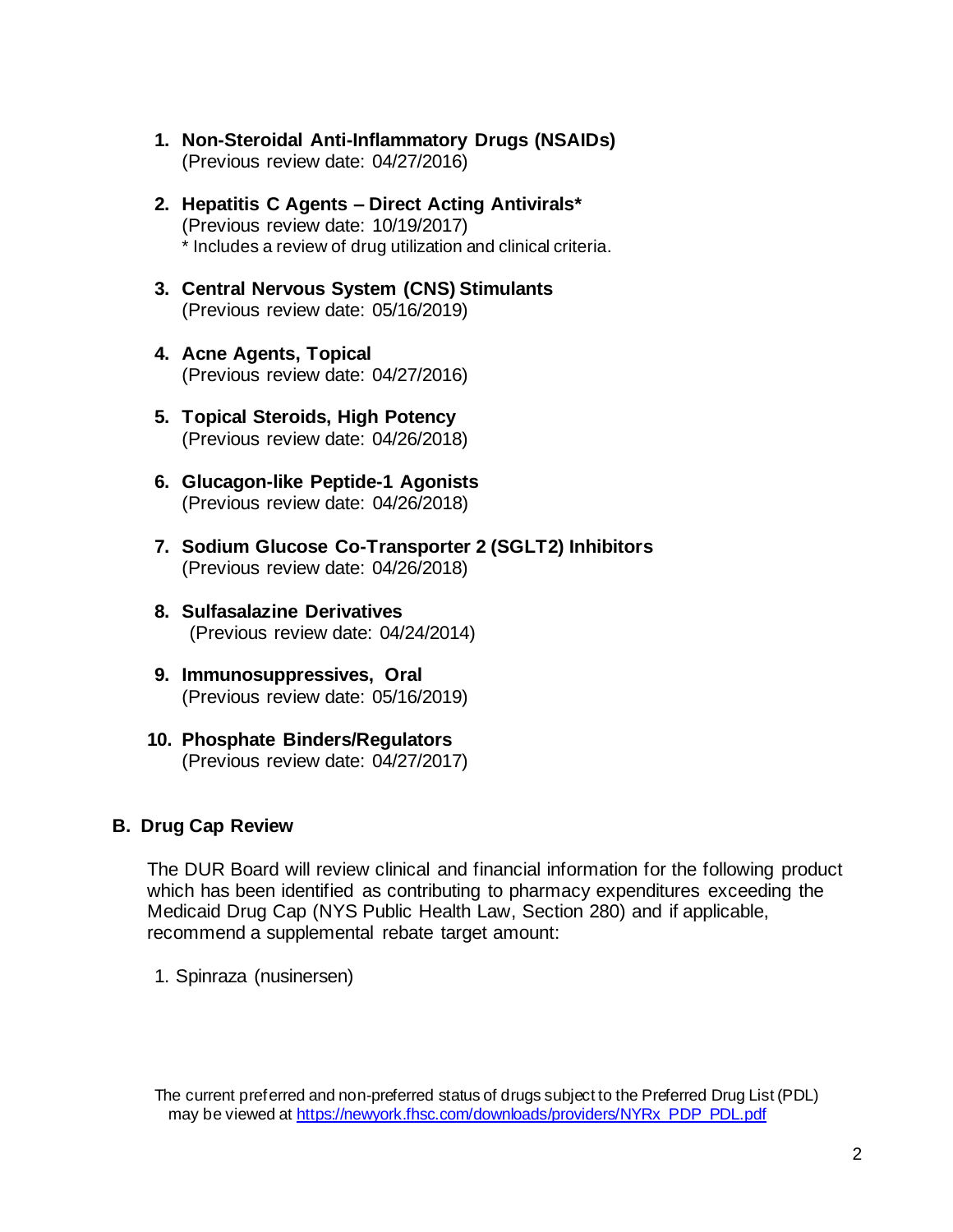- **1. Non-Steroidal Anti-Inflammatory Drugs (NSAIDs)** (Previous review date: 04/27/2016)
- **2. Hepatitis C Agents – Direct Acting Antivirals\*** (Previous review date: 10/19/2017) \* Includes a review of drug utilization and clinical criteria.
- **3. Central Nervous System (CNS) Stimulants** (Previous review date: 05/16/2019)
- **4. Acne Agents, Topical** (Previous review date: 04/27/2016)
- **5. Topical Steroids, High Potency** (Previous review date: 04/26/2018)
- **6. Glucagon-like Peptide-1 Agonists** (Previous review date: 04/26/2018)
- **7. Sodium Glucose Co-Transporter 2 (SGLT2) Inhibitors** (Previous review date: 04/26/2018)
- **8. Sulfasalazine Derivatives** (Previous review date: 04/24/2014)
- **9. Immunosuppressives, Oral** (Previous review date: 05/16/2019)
- **10. Phosphate Binders/Regulators** (Previous review date: 04/27/2017)

## **B. Drug Cap Review**

The DUR Board will review clinical and financial information for the following product which has been identified as contributing to pharmacy expenditures exceeding the Medicaid Drug Cap (NYS Public Health Law, Section 280) and if applicable, recommend a supplemental rebate target amount:

1. Spinraza (nusinersen)

The current preferred and non-preferred status of drugs subject to the Preferred Drug List (PDL) may be viewed a[t https://newyork.fhsc.com/downloads/providers/NYRx\\_PDP\\_PDL.pdf](https://newyork.fhsc.com/downloads/providers/NYRx_PDP_PDL.pdf)